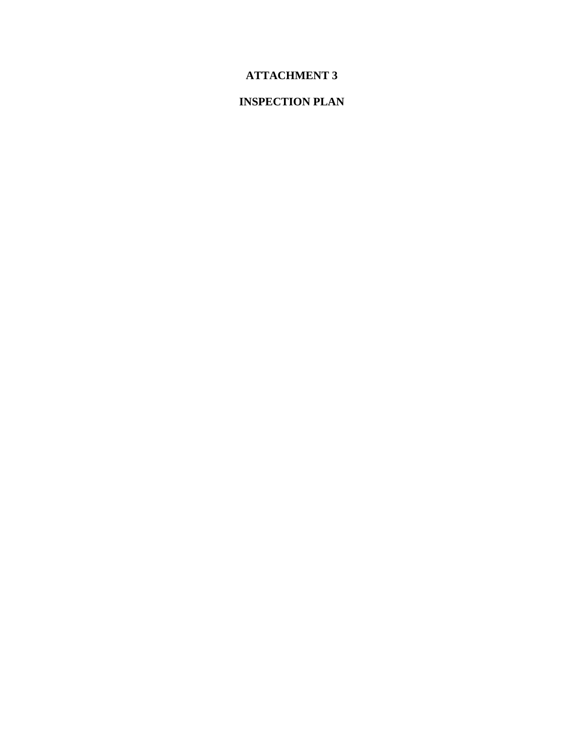# **ATTACHMENT 3**

# **INSPECTION PLAN**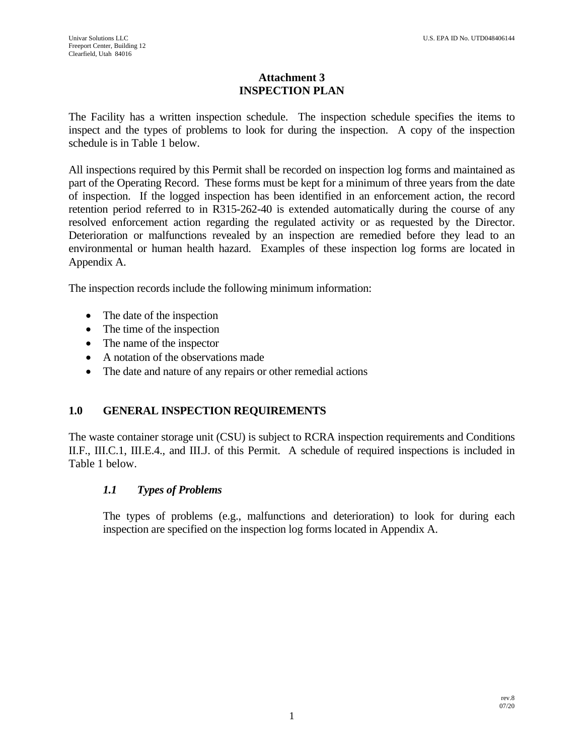# **Attachment 3 INSPECTION PLAN**

The Facility has a written inspection schedule. The inspection schedule specifies the items to inspect and the types of problems to look for during the inspection. A copy of the inspection schedule is in Table 1 below.

All inspections required by this Permit shall be recorded on inspection log forms and maintained as part of the Operating Record. These forms must be kept for a minimum of three years from the date of inspection. If the logged inspection has been identified in an enforcement action, the record retention period referred to in R315-262-40 is extended automatically during the course of any resolved enforcement action regarding the regulated activity or as requested by the Director. Deterioration or malfunctions revealed by an inspection are remedied before they lead to an environmental or human health hazard. Examples of these inspection log forms are located in Appendix A.

The inspection records include the following minimum information:

- The date of the inspection
- The time of the inspection
- The name of the inspector
- A notation of the observations made
- The date and nature of any repairs or other remedial actions

# **1.0 GENERAL INSPECTION REQUIREMENTS**

The waste container storage unit (CSU) is subject to RCRA inspection requirements and Conditions II.F., III.C.1, III.E.4., and III.J. of this Permit. A schedule of required inspections is included in Table 1 below.

# *1.1 Types of Problems*

The types of problems (e.g., malfunctions and deterioration) to look for during each inspection are specified on the inspection log forms located in Appendix A.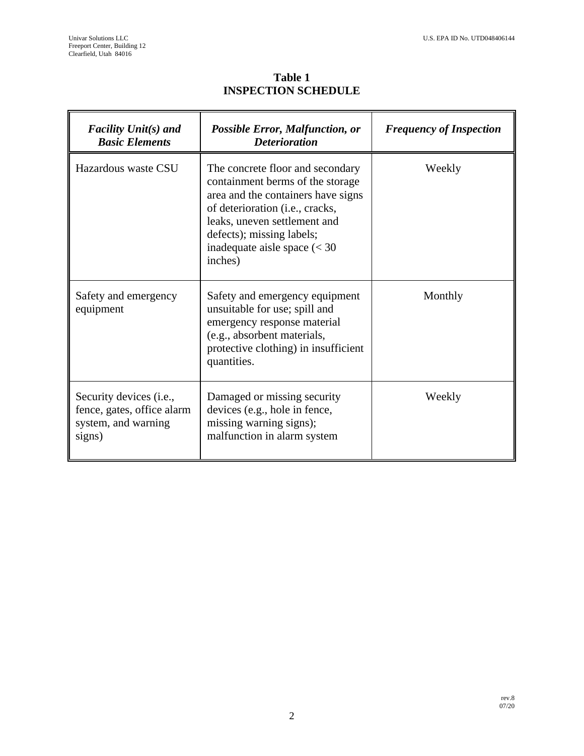$\blacksquare$ 

F

**Table 1 INSPECTION SCHEDULE**

| <b>Facility Unit(s) and</b><br><b>Basic Elements</b>                                            | <b>Possible Error, Malfunction, or</b><br><b>Deterioration</b>                                                                                                                                                                                                        | <b>Frequency of Inspection</b> |
|-------------------------------------------------------------------------------------------------|-----------------------------------------------------------------------------------------------------------------------------------------------------------------------------------------------------------------------------------------------------------------------|--------------------------------|
| Hazardous waste CSU                                                                             | The concrete floor and secondary<br>containment berms of the storage<br>area and the containers have signs<br>of deterioration (i.e., cracks,<br>leaks, uneven settlement and<br>defects); missing labels;<br>inadequate aisle space $\left( < 30 \right)$<br>inches) | Weekly                         |
| Safety and emergency<br>equipment                                                               | Safety and emergency equipment<br>unsuitable for use; spill and<br>emergency response material<br>(e.g., absorbent materials,<br>protective clothing) in insufficient<br>quantities.                                                                                  | Monthly                        |
| Security devices ( <i>i.e.</i> ,<br>fence, gates, office alarm<br>system, and warning<br>signs) | Damaged or missing security<br>devices (e.g., hole in fence,<br>missing warning signs);<br>malfunction in alarm system                                                                                                                                                | Weekly                         |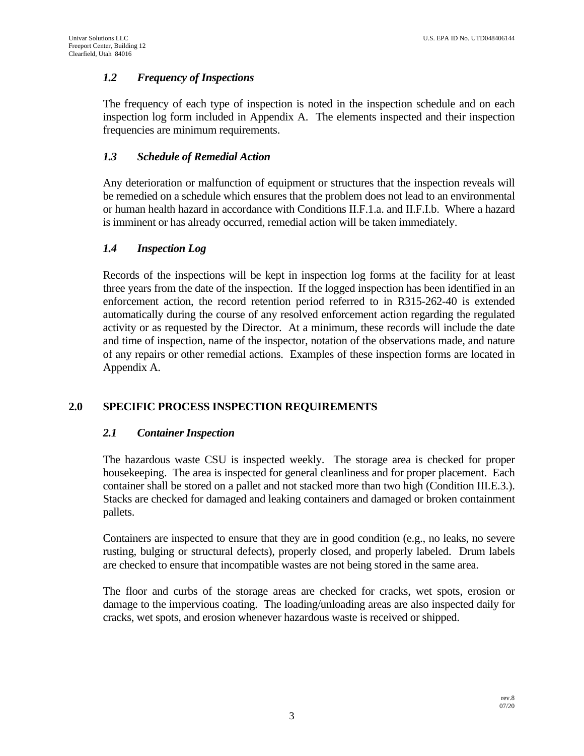### *1.2 Frequency of Inspections*

The frequency of each type of inspection is noted in the inspection schedule and on each inspection log form included in Appendix A. The elements inspected and their inspection frequencies are minimum requirements.

### *1.3 Schedule of Remedial Action*

Any deterioration or malfunction of equipment or structures that the inspection reveals will be remedied on a schedule which ensures that the problem does not lead to an environmental or human health hazard in accordance with Conditions II.F.1.a. and II.F.I.b. Where a hazard is imminent or has already occurred, remedial action will be taken immediately.

### *1.4 Inspection Log*

Records of the inspections will be kept in inspection log forms at the facility for at least three years from the date of the inspection. If the logged inspection has been identified in an enforcement action, the record retention period referred to in R315-262-40 is extended automatically during the course of any resolved enforcement action regarding the regulated activity or as requested by the Director. At a minimum, these records will include the date and time of inspection, name of the inspector, notation of the observations made, and nature of any repairs or other remedial actions. Examples of these inspection forms are located in Appendix A.

### **2.0 SPECIFIC PROCESS INSPECTION REQUIREMENTS**

### *2.1 Container Inspection*

The hazardous waste CSU is inspected weekly. The storage area is checked for proper housekeeping. The area is inspected for general cleanliness and for proper placement. Each container shall be stored on a pallet and not stacked more than two high (Condition III.E.3.). Stacks are checked for damaged and leaking containers and damaged or broken containment pallets.

Containers are inspected to ensure that they are in good condition (e.g., no leaks, no severe rusting, bulging or structural defects), properly closed, and properly labeled. Drum labels are checked to ensure that incompatible wastes are not being stored in the same area.

The floor and curbs of the storage areas are checked for cracks, wet spots, erosion or damage to the impervious coating. The loading/unloading areas are also inspected daily for cracks, wet spots, and erosion whenever hazardous waste is received or shipped.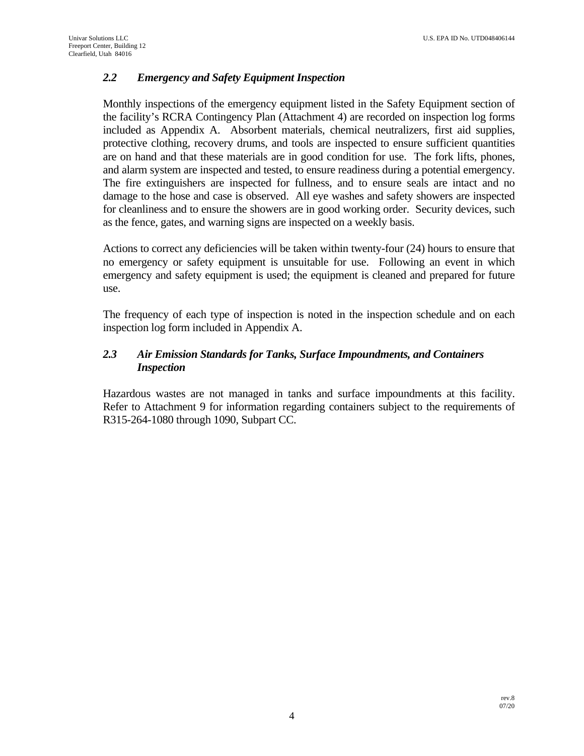# *2.2 Emergency and Safety Equipment Inspection*

Monthly inspections of the emergency equipment listed in the Safety Equipment section of the facility's RCRA Contingency Plan (Attachment 4) are recorded on inspection log forms included as Appendix A. Absorbent materials, chemical neutralizers, first aid supplies, protective clothing, recovery drums, and tools are inspected to ensure sufficient quantities are on hand and that these materials are in good condition for use. The fork lifts, phones, and alarm system are inspected and tested, to ensure readiness during a potential emergency. The fire extinguishers are inspected for fullness, and to ensure seals are intact and no damage to the hose and case is observed. All eye washes and safety showers are inspected for cleanliness and to ensure the showers are in good working order. Security devices, such as the fence, gates, and warning signs are inspected on a weekly basis.

Actions to correct any deficiencies will be taken within twenty-four (24) hours to ensure that no emergency or safety equipment is unsuitable for use. Following an event in which emergency and safety equipment is used; the equipment is cleaned and prepared for future use.

The frequency of each type of inspection is noted in the inspection schedule and on each inspection log form included in Appendix A.

# *2.3 Air Emission Standards for Tanks, Surface Impoundments, and Containers Inspection*

Hazardous wastes are not managed in tanks and surface impoundments at this facility. Refer to Attachment 9 for information regarding containers subject to the requirements of R315-264-1080 through 1090, Subpart CC.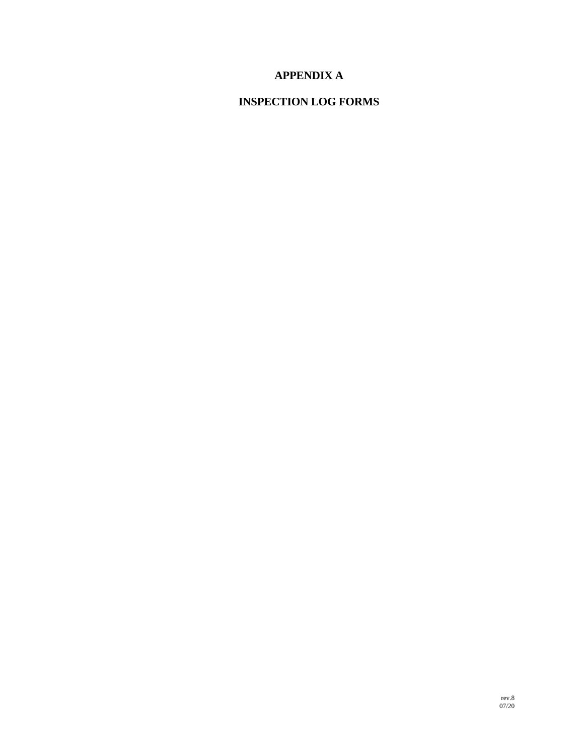# **APPENDIX A**

# **INSPECTION LOG FORMS**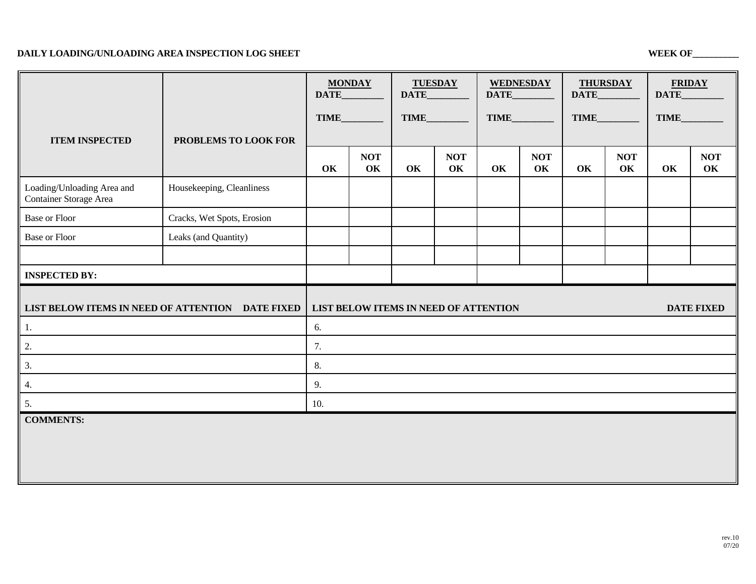#### **DAILY LOADING/UNLOADING AREA INSPECTION LOG SHEET WEEK OF WEEK OF WEEK OF WEEK OF WEEK OF WEEK OF WEEK OF WEEK OF WEEK OF WEEK OF WEEK OF WEEK OF WEEK OF WEEK OF WEEK OF WEEK OF WEEK OF WEEK OF WEEK OF WEEK OF WEEK OF WEE**

|                                                      |                            | <b>MONDAY</b><br>DATE_                                     |                  | <b>TUESDAY</b><br>DATE_ |                  | <b>WEDNESDAY</b><br>DATE_ |                  | <b>THURSDAY</b><br>DATE_ |                  | <b>FRIDAY</b><br>DATE |                  |  |
|------------------------------------------------------|----------------------------|------------------------------------------------------------|------------------|-------------------------|------------------|---------------------------|------------------|--------------------------|------------------|-----------------------|------------------|--|
|                                                      |                            | <b>TIME</b>                                                |                  | <b>TIME</b>             |                  | TIME                      |                  | <b>TIME</b>              |                  | <b>TIME</b>           |                  |  |
| <b>ITEM INSPECTED</b>                                | PROBLEMS TO LOOK FOR       |                                                            |                  |                         |                  |                           |                  |                          |                  |                       |                  |  |
|                                                      |                            | OK                                                         | <b>NOT</b><br>OK | OK                      | <b>NOT</b><br>OK | OK                        | <b>NOT</b><br>OK | OK                       | <b>NOT</b><br>OK | OK                    | <b>NOT</b><br>OK |  |
| Loading/Unloading Area and<br>Container Storage Area | Housekeeping, Cleanliness  |                                                            |                  |                         |                  |                           |                  |                          |                  |                       |                  |  |
| <b>Base or Floor</b>                                 | Cracks, Wet Spots, Erosion |                                                            |                  |                         |                  |                           |                  |                          |                  |                       |                  |  |
| <b>Base or Floor</b>                                 | Leaks (and Quantity)       |                                                            |                  |                         |                  |                           |                  |                          |                  |                       |                  |  |
|                                                      |                            |                                                            |                  |                         |                  |                           |                  |                          |                  |                       |                  |  |
| <b>INSPECTED BY:</b>                                 |                            |                                                            |                  |                         |                  |                           |                  |                          |                  |                       |                  |  |
| LIST BELOW ITEMS IN NEED OF ATTENTION DATE FIXED     |                            | <b>DATE FIXED</b><br>LIST BELOW ITEMS IN NEED OF ATTENTION |                  |                         |                  |                           |                  |                          |                  |                       |                  |  |
| 1.                                                   |                            | 6.                                                         |                  |                         |                  |                           |                  |                          |                  |                       |                  |  |
| 2.                                                   |                            | 7.                                                         |                  |                         |                  |                           |                  |                          |                  |                       |                  |  |
| 3.                                                   |                            | 8.                                                         |                  |                         |                  |                           |                  |                          |                  |                       |                  |  |
| 4.                                                   |                            | 9.                                                         |                  |                         |                  |                           |                  |                          |                  |                       |                  |  |
| 5.                                                   |                            | 10.                                                        |                  |                         |                  |                           |                  |                          |                  |                       |                  |  |
| <b>COMMENTS:</b>                                     |                            |                                                            |                  |                         |                  |                           |                  |                          |                  |                       |                  |  |
|                                                      |                            |                                                            |                  |                         |                  |                           |                  |                          |                  |                       |                  |  |
|                                                      |                            |                                                            |                  |                         |                  |                           |                  |                          |                  |                       |                  |  |
|                                                      |                            |                                                            |                  |                         |                  |                           |                  |                          |                  |                       |                  |  |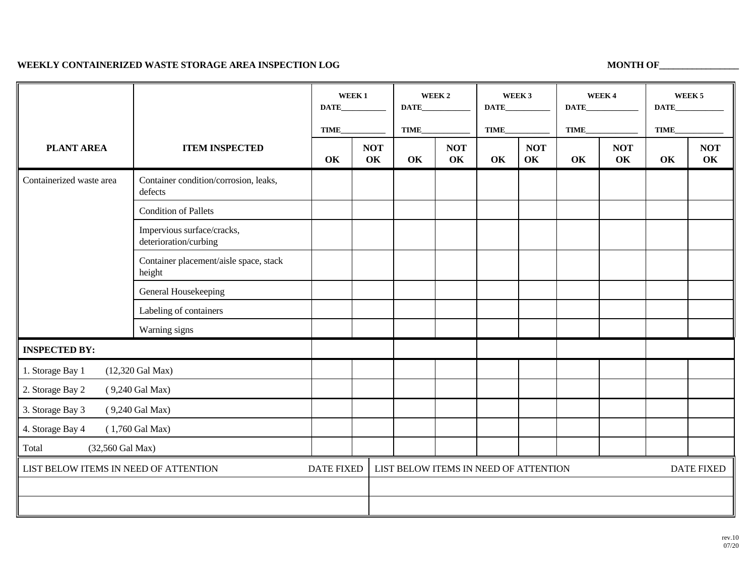#### WEEKLY CONTAINERIZED WASTE STORAGE AREA INSPECTION LOG MONTH OF **MONTH OF ALGO**

|                                                            |                                                     | WEEK <sub>1</sub><br><b>DATE</b> |                                       | WEEK <sub>2</sub><br>DATE |                  | WEEK 3<br>DATE_ |                  | WEEK4<br>DATE     |                  | WEEK <sub>5</sub><br><b>DATE</b> |                  |
|------------------------------------------------------------|-----------------------------------------------------|----------------------------------|---------------------------------------|---------------------------|------------------|-----------------|------------------|-------------------|------------------|----------------------------------|------------------|
|                                                            |                                                     | <b>TIME</b>                      |                                       | TIME                      |                  | TIME            |                  | TIME              |                  | <b>TIME</b>                      |                  |
| <b>PLANT AREA</b>                                          | <b>ITEM INSPECTED</b>                               | OK                               | <b>NOT</b><br>OK                      | OK                        | <b>NOT</b><br>OK | OK              | <b>NOT</b><br>OK | OK                | <b>NOT</b><br>OK | OK                               | <b>NOT</b><br>OK |
| Containerized waste area                                   | Container condition/corrosion, leaks,<br>defects    |                                  |                                       |                           |                  |                 |                  |                   |                  |                                  |                  |
|                                                            | <b>Condition of Pallets</b>                         |                                  |                                       |                           |                  |                 |                  |                   |                  |                                  |                  |
|                                                            | Impervious surface/cracks,<br>deterioration/curbing |                                  |                                       |                           |                  |                 |                  |                   |                  |                                  |                  |
|                                                            | Container placement/aisle space, stack<br>height    |                                  |                                       |                           |                  |                 |                  |                   |                  |                                  |                  |
|                                                            | General Housekeeping                                |                                  |                                       |                           |                  |                 |                  |                   |                  |                                  |                  |
|                                                            | Labeling of containers                              |                                  |                                       |                           |                  |                 |                  |                   |                  |                                  |                  |
|                                                            | Warning signs                                       |                                  |                                       |                           |                  |                 |                  |                   |                  |                                  |                  |
| <b>INSPECTED BY:</b>                                       |                                                     |                                  |                                       |                           |                  |                 |                  |                   |                  |                                  |                  |
| 1. Storage Bay 1                                           | $(12,320 \text{ Gal Max})$                          |                                  |                                       |                           |                  |                 |                  |                   |                  |                                  |                  |
| 2. Storage Bay 2                                           | (9,240 Gal Max)                                     |                                  |                                       |                           |                  |                 |                  |                   |                  |                                  |                  |
| 3. Storage Bay 3<br>(9,240 Gal Max)                        |                                                     |                                  |                                       |                           |                  |                 |                  |                   |                  |                                  |                  |
| 4. Storage Bay 4<br>$(1,760$ Gal Max)                      |                                                     |                                  |                                       |                           |                  |                 |                  |                   |                  |                                  |                  |
| Total<br>(32,560 Gal Max)                                  |                                                     |                                  |                                       |                           |                  |                 |                  |                   |                  |                                  |                  |
| LIST BELOW ITEMS IN NEED OF ATTENTION<br><b>DATE FIXED</b> |                                                     |                                  | LIST BELOW ITEMS IN NEED OF ATTENTION |                           |                  |                 |                  | <b>DATE FIXED</b> |                  |                                  |                  |
|                                                            |                                                     |                                  |                                       |                           |                  |                 |                  |                   |                  |                                  |                  |
|                                                            |                                                     |                                  |                                       |                           |                  |                 |                  |                   |                  |                                  |                  |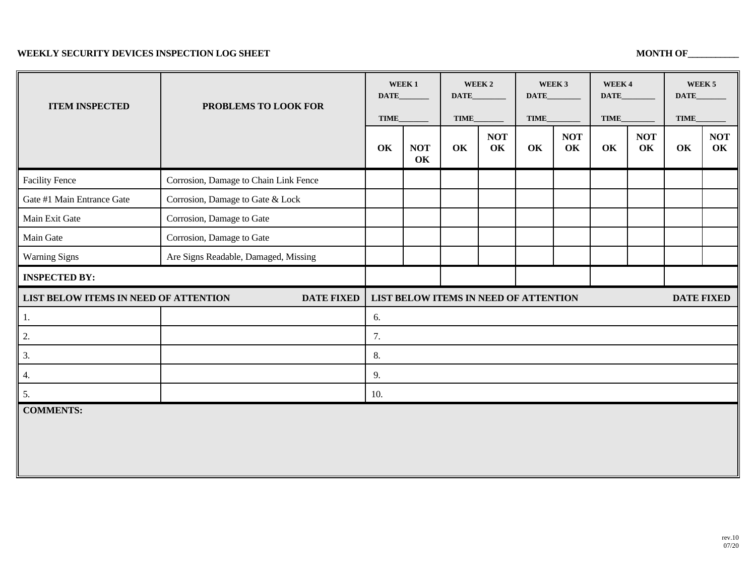#### **WEEKLY SECURITY DEVICES INSPECTION LOG SHEET MONTH OF\_\_\_\_\_\_\_\_\_\_\_**

| <b>ITEM INSPECTED</b><br>PROBLEMS TO LOOK FOR              |    | WEEK <sub>1</sub><br><b>DATE</b>                           |    | WEEK 2<br><b>DATE</b> |    | WEEK 3<br>DATE_  |    | WEEK4            | WEEK <sub>5</sub><br>DATE_ |                  |  |
|------------------------------------------------------------|----|------------------------------------------------------------|----|-----------------------|----|------------------|----|------------------|----------------------------|------------------|--|
|                                                            |    | TIME_                                                      |    | TIME_                 |    | TIME_            |    | TIME_            |                            |                  |  |
|                                                            | OK | <b>NOT</b><br>OK                                           | OK | <b>NOT</b><br>OK      | OK | <b>NOT</b><br>OK | OK | <b>NOT</b><br>OK | OK                         | <b>NOT</b><br>OK |  |
| Corrosion, Damage to Chain Link Fence                      |    |                                                            |    |                       |    |                  |    |                  |                            |                  |  |
| Corrosion, Damage to Gate & Lock                           |    |                                                            |    |                       |    |                  |    |                  |                            |                  |  |
| Corrosion, Damage to Gate                                  |    |                                                            |    |                       |    |                  |    |                  |                            |                  |  |
| Corrosion, Damage to Gate                                  |    |                                                            |    |                       |    |                  |    |                  |                            |                  |  |
| Are Signs Readable, Damaged, Missing                       |    |                                                            |    |                       |    |                  |    |                  |                            |                  |  |
| <b>INSPECTED BY:</b>                                       |    |                                                            |    |                       |    |                  |    |                  |                            |                  |  |
| LIST BELOW ITEMS IN NEED OF ATTENTION<br><b>DATE FIXED</b> |    | LIST BELOW ITEMS IN NEED OF ATTENTION<br><b>DATE FIXED</b> |    |                       |    |                  |    |                  |                            |                  |  |
|                                                            | 6. |                                                            |    |                       |    |                  |    |                  |                            |                  |  |
| 2.                                                         |    | 7.                                                         |    |                       |    |                  |    |                  |                            |                  |  |
| 3.                                                         |    | 8.                                                         |    |                       |    |                  |    |                  |                            |                  |  |
| 4.                                                         |    | 9.                                                         |    |                       |    |                  |    |                  |                            |                  |  |
| 5.                                                         |    | 10.                                                        |    |                       |    |                  |    |                  |                            |                  |  |
|                                                            |    |                                                            |    |                       |    |                  |    |                  |                            |                  |  |
|                                                            |    |                                                            |    |                       |    |                  |    |                  |                            |                  |  |
|                                                            |    |                                                            |    |                       |    |                  |    | DATE_            |                            | TIME_            |  |